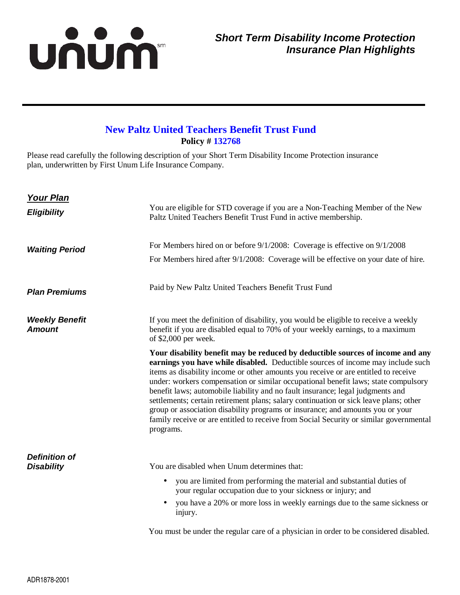## unum

## **New Paltz United Teachers Benefit Trust Fund Policy # 132768**

Please read carefully the following description of your Short Term Disability Income Protection insurance plan, underwritten by First Unum Life Insurance Company.

| <b>Your Plan</b>                          |                                                                                                                                                                                                                                                                                                                                                                                                                                                                                                                                                                                                                                                                                                                   |
|-------------------------------------------|-------------------------------------------------------------------------------------------------------------------------------------------------------------------------------------------------------------------------------------------------------------------------------------------------------------------------------------------------------------------------------------------------------------------------------------------------------------------------------------------------------------------------------------------------------------------------------------------------------------------------------------------------------------------------------------------------------------------|
| <b>Eligibility</b>                        | You are eligible for STD coverage if you are a Non-Teaching Member of the New<br>Paltz United Teachers Benefit Trust Fund in active membership.                                                                                                                                                                                                                                                                                                                                                                                                                                                                                                                                                                   |
| <b>Waiting Period</b>                     | For Members hired on or before 9/1/2008: Coverage is effective on 9/1/2008                                                                                                                                                                                                                                                                                                                                                                                                                                                                                                                                                                                                                                        |
|                                           | For Members hired after 9/1/2008: Coverage will be effective on your date of hire.                                                                                                                                                                                                                                                                                                                                                                                                                                                                                                                                                                                                                                |
| <b>Plan Premiums</b>                      | Paid by New Paltz United Teachers Benefit Trust Fund                                                                                                                                                                                                                                                                                                                                                                                                                                                                                                                                                                                                                                                              |
| <b>Weekly Benefit</b><br><b>Amount</b>    | If you meet the definition of disability, you would be eligible to receive a weekly<br>benefit if you are disabled equal to 70% of your weekly earnings, to a maximum<br>of $$2,000$ per week.                                                                                                                                                                                                                                                                                                                                                                                                                                                                                                                    |
|                                           | Your disability benefit may be reduced by deductible sources of income and any<br>earnings you have while disabled. Deductible sources of income may include such<br>items as disability income or other amounts you receive or are entitled to receive<br>under: workers compensation or similar occupational benefit laws; state compulsory<br>benefit laws; automobile liability and no fault insurance; legal judgments and<br>settlements; certain retirement plans; salary continuation or sick leave plans; other<br>group or association disability programs or insurance; and amounts you or your<br>family receive or are entitled to receive from Social Security or similar governmental<br>programs. |
| <b>Definition of</b><br><b>Disability</b> | You are disabled when Unum determines that:<br>you are limited from performing the material and substantial duties of<br>$\bullet$<br>your regular occupation due to your sickness or injury; and<br>you have a 20% or more loss in weekly earnings due to the same sickness or<br>injury.                                                                                                                                                                                                                                                                                                                                                                                                                        |
|                                           | You must be under the regular care of a physician in order to be considered disabled.                                                                                                                                                                                                                                                                                                                                                                                                                                                                                                                                                                                                                             |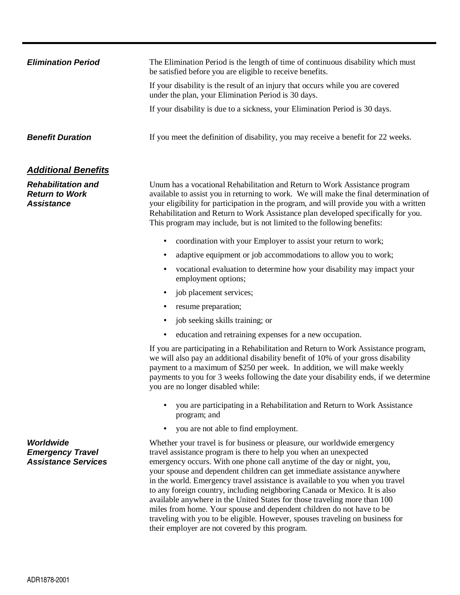| <b>Elimination Period</b>                   | The Elimination Period is the length of time of continuous disability which must<br>be satisfied before you are eligible to receive benefits.                      |
|---------------------------------------------|--------------------------------------------------------------------------------------------------------------------------------------------------------------------|
|                                             | If your disability is the result of an injury that occurs while you are covered<br>under the plan, your Elimination Period is 30 days.                             |
|                                             | If your disability is due to a sickness, your Elimination Period is 30 days.                                                                                       |
| <b>Benefit Duration</b>                     | If you meet the definition of disability, you may receive a benefit for 22 weeks.                                                                                  |
| <b>Additional Benefits</b>                  |                                                                                                                                                                    |
| <b>Rehabilitation and</b><br>Paturn to Work | Unum has a vocational Rehabilitation and Return to Work Assistance program<br>available to assist you in returning to work We will make the final determination of |

**Return to Work Assistance**

available to assist you in returning to work. We will make the final determination of your eligibility for participation in the program, and will provide you with a written Rehabilitation and Return to Work Assistance plan developed specifically for you. This program may include, but is not limited to the following benefits:

- coordination with your Employer to assist your return to work;
- adaptive equipment or job accommodations to allow you to work;
- vocational evaluation to determine how your disability may impact your employment options;
- job placement services;
- resume preparation;
- job seeking skills training; or
- education and retraining expenses for a new occupation.

If you are participating in a Rehabilitation and Return to Work Assistance program, we will also pay an additional disability benefit of 10% of your gross disability payment to a maximum of \$250 per week. In addition, we will make weekly payments to you for 3 weeks following the date your disability ends, if we determine you are no longer disabled while:

- you are participating in a Rehabilitation and Return to Work Assistance program; and
- you are not able to find employment.

Whether your travel is for business or pleasure, our worldwide emergency travel assistance program is there to help you when an unexpected emergency occurs. With one phone call anytime of the day or night, you, your spouse and dependent children can get immediate assistance anywhere in the world. Emergency travel assistance is available to you when you travel to any foreign country, including neighboring Canada or Mexico. It is also available anywhere in the United States for those traveling more than 100 miles from home. Your spouse and dependent children do not have to be traveling with you to be eligible. However, spouses traveling on business for their employer are not covered by this program.

**Worldwide Emergency Travel Assistance Services**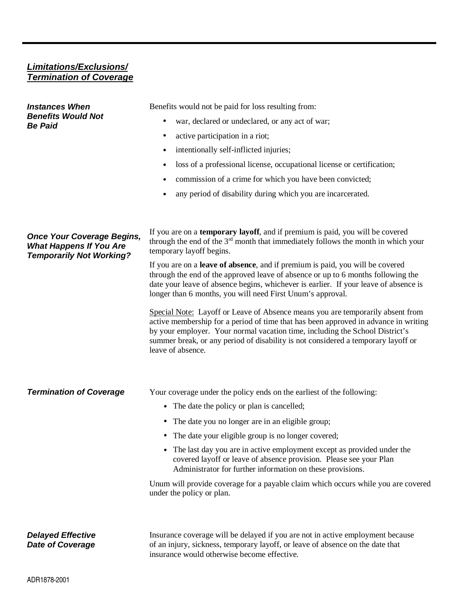## **Limitations/Exclusions/ Termination of Coverage**

| <b>Instances When</b><br><b>Benefits Would Not</b><br><b>Be Paid</b>                                   | Benefits would not be paid for loss resulting from:                                                                                                                                                                                                                                                                                                             |
|--------------------------------------------------------------------------------------------------------|-----------------------------------------------------------------------------------------------------------------------------------------------------------------------------------------------------------------------------------------------------------------------------------------------------------------------------------------------------------------|
|                                                                                                        | war, declared or undeclared, or any act of war;                                                                                                                                                                                                                                                                                                                 |
|                                                                                                        | active participation in a riot;<br>٠                                                                                                                                                                                                                                                                                                                            |
|                                                                                                        | intentionally self-inflicted injuries;<br>$\bullet$                                                                                                                                                                                                                                                                                                             |
|                                                                                                        | loss of a professional license, occupational license or certification;<br>$\bullet$                                                                                                                                                                                                                                                                             |
|                                                                                                        | commission of a crime for which you have been convicted;                                                                                                                                                                                                                                                                                                        |
|                                                                                                        | any period of disability during which you are incarcerated.                                                                                                                                                                                                                                                                                                     |
| <b>Once Your Coverage Begins,</b><br><b>What Happens If You Are</b><br><b>Temporarily Not Working?</b> | If you are on a temporary layoff, and if premium is paid, you will be covered<br>through the end of the $3rd$ month that immediately follows the month in which your<br>temporary layoff begins.                                                                                                                                                                |
|                                                                                                        | If you are on a <b>leave of absence</b> , and if premium is paid, you will be covered<br>through the end of the approved leave of absence or up to 6 months following the<br>date your leave of absence begins, whichever is earlier. If your leave of absence is<br>longer than 6 months, you will need First Unum's approval.                                 |
|                                                                                                        | Special Note: Layoff or Leave of Absence means you are temporarily absent from<br>active membership for a period of time that has been approved in advance in writing<br>by your employer. Your normal vacation time, including the School District's<br>summer break, or any period of disability is not considered a temporary layoff or<br>leave of absence. |
| <b>Termination of Coverage</b>                                                                         | Your coverage under the policy ends on the earliest of the following:                                                                                                                                                                                                                                                                                           |
|                                                                                                        | • The date the policy or plan is cancelled;                                                                                                                                                                                                                                                                                                                     |
|                                                                                                        | The date you no longer are in an eligible group;<br>$\bullet$                                                                                                                                                                                                                                                                                                   |
|                                                                                                        | The date your eligible group is no longer covered;<br>٠                                                                                                                                                                                                                                                                                                         |
|                                                                                                        | The last day you are in active employment except as provided under the<br>covered layoff or leave of absence provision. Please see your Plan<br>Administrator for further information on these provisions.                                                                                                                                                      |
|                                                                                                        | Unum will provide coverage for a payable claim which occurs while you are covered<br>under the policy or plan.                                                                                                                                                                                                                                                  |
| <b>Delayed Effective</b><br><b>Date of Coverage</b>                                                    | Insurance coverage will be delayed if you are not in active employment because<br>of an injury, sickness, temporary layoff, or leave of absence on the date that<br>insurance would otherwise become effective.                                                                                                                                                 |